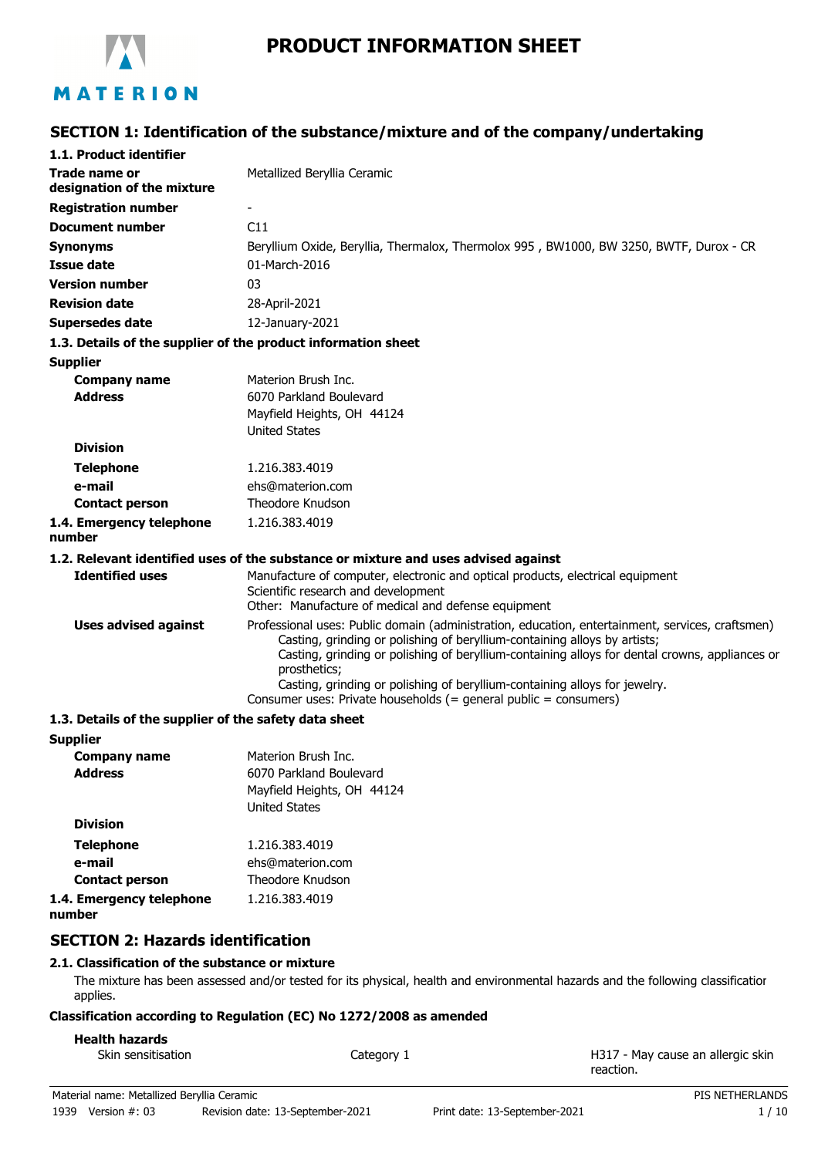

# **PRODUCT INFORMATION SHEET**

# **SECTION 1: Identification of the substance/mixture and of the company/undertaking**

| 1.1. Product identifier                               |                                                                                                                                                                                                                                                                                                                                                                                                                                                   |
|-------------------------------------------------------|---------------------------------------------------------------------------------------------------------------------------------------------------------------------------------------------------------------------------------------------------------------------------------------------------------------------------------------------------------------------------------------------------------------------------------------------------|
| Trade name or<br>designation of the mixture           | Metallized Beryllia Ceramic                                                                                                                                                                                                                                                                                                                                                                                                                       |
| <b>Registration number</b>                            |                                                                                                                                                                                                                                                                                                                                                                                                                                                   |
| <b>Document number</b>                                | C11                                                                                                                                                                                                                                                                                                                                                                                                                                               |
| <b>Synonyms</b>                                       | Beryllium Oxide, Beryllia, Thermalox, Thermolox 995, BW1000, BW 3250, BWTF, Durox - CR                                                                                                                                                                                                                                                                                                                                                            |
| <b>Issue date</b>                                     | 01-March-2016                                                                                                                                                                                                                                                                                                                                                                                                                                     |
| <b>Version number</b>                                 | 03                                                                                                                                                                                                                                                                                                                                                                                                                                                |
| <b>Revision date</b>                                  | 28-April-2021                                                                                                                                                                                                                                                                                                                                                                                                                                     |
| <b>Supersedes date</b>                                | 12-January-2021                                                                                                                                                                                                                                                                                                                                                                                                                                   |
|                                                       | 1.3. Details of the supplier of the product information sheet                                                                                                                                                                                                                                                                                                                                                                                     |
| <b>Supplier</b>                                       |                                                                                                                                                                                                                                                                                                                                                                                                                                                   |
| <b>Company name</b>                                   | Materion Brush Inc.                                                                                                                                                                                                                                                                                                                                                                                                                               |
| <b>Address</b>                                        | 6070 Parkland Boulevard                                                                                                                                                                                                                                                                                                                                                                                                                           |
|                                                       | Mayfield Heights, OH 44124                                                                                                                                                                                                                                                                                                                                                                                                                        |
|                                                       | <b>United States</b>                                                                                                                                                                                                                                                                                                                                                                                                                              |
| <b>Division</b>                                       |                                                                                                                                                                                                                                                                                                                                                                                                                                                   |
| <b>Telephone</b>                                      | 1.216.383.4019                                                                                                                                                                                                                                                                                                                                                                                                                                    |
| e-mail                                                | ehs@materion.com                                                                                                                                                                                                                                                                                                                                                                                                                                  |
| <b>Contact person</b>                                 | Theodore Knudson                                                                                                                                                                                                                                                                                                                                                                                                                                  |
| 1.4. Emergency telephone<br>number                    | 1.216.383.4019                                                                                                                                                                                                                                                                                                                                                                                                                                    |
|                                                       | 1.2. Relevant identified uses of the substance or mixture and uses advised against                                                                                                                                                                                                                                                                                                                                                                |
| <b>Identified uses</b>                                | Manufacture of computer, electronic and optical products, electrical equipment<br>Scientific research and development<br>Other: Manufacture of medical and defense equipment                                                                                                                                                                                                                                                                      |
| <b>Uses advised against</b>                           | Professional uses: Public domain (administration, education, entertainment, services, craftsmen)<br>Casting, grinding or polishing of beryllium-containing alloys by artists;<br>Casting, grinding or polishing of beryllium-containing alloys for dental crowns, appliances or<br>prosthetics;<br>Casting, grinding or polishing of beryllium-containing alloys for jewelry.<br>Consumer uses: Private households (= general public = consumers) |
| 1.3. Details of the supplier of the safety data sheet |                                                                                                                                                                                                                                                                                                                                                                                                                                                   |
| <b>Supplier</b>                                       |                                                                                                                                                                                                                                                                                                                                                                                                                                                   |
| <b>Company name</b>                                   | Materion Brush Inc.                                                                                                                                                                                                                                                                                                                                                                                                                               |
| <b>Address</b>                                        | 6070 Parkland Boulevard                                                                                                                                                                                                                                                                                                                                                                                                                           |
|                                                       | Mayfield Heights, OH 44124<br><b>United States</b>                                                                                                                                                                                                                                                                                                                                                                                                |
| <b>Division</b>                                       |                                                                                                                                                                                                                                                                                                                                                                                                                                                   |
| <b>Telephone</b>                                      | 1.216.383.4019                                                                                                                                                                                                                                                                                                                                                                                                                                    |
| e-mail                                                | ehs@materion.com                                                                                                                                                                                                                                                                                                                                                                                                                                  |

**1.4. Emergency telephone number**

# **SECTION 2: Hazards identification**

### **2.1. Classification of the substance or mixture**

The mixture has been assessed and/or tested for its physical, health and environmental hazards and the following classification applies.

# **Classification according to Regulation (EC) No 1272/2008 as amended**

Theodore Knudson

1.216.383.4019

# **Health hazards**

**Contact person**

| Skin sensitisation | Category 1 | H317 - May cause an allergic skin |
|--------------------|------------|-----------------------------------|
|                    |            | reaction.                         |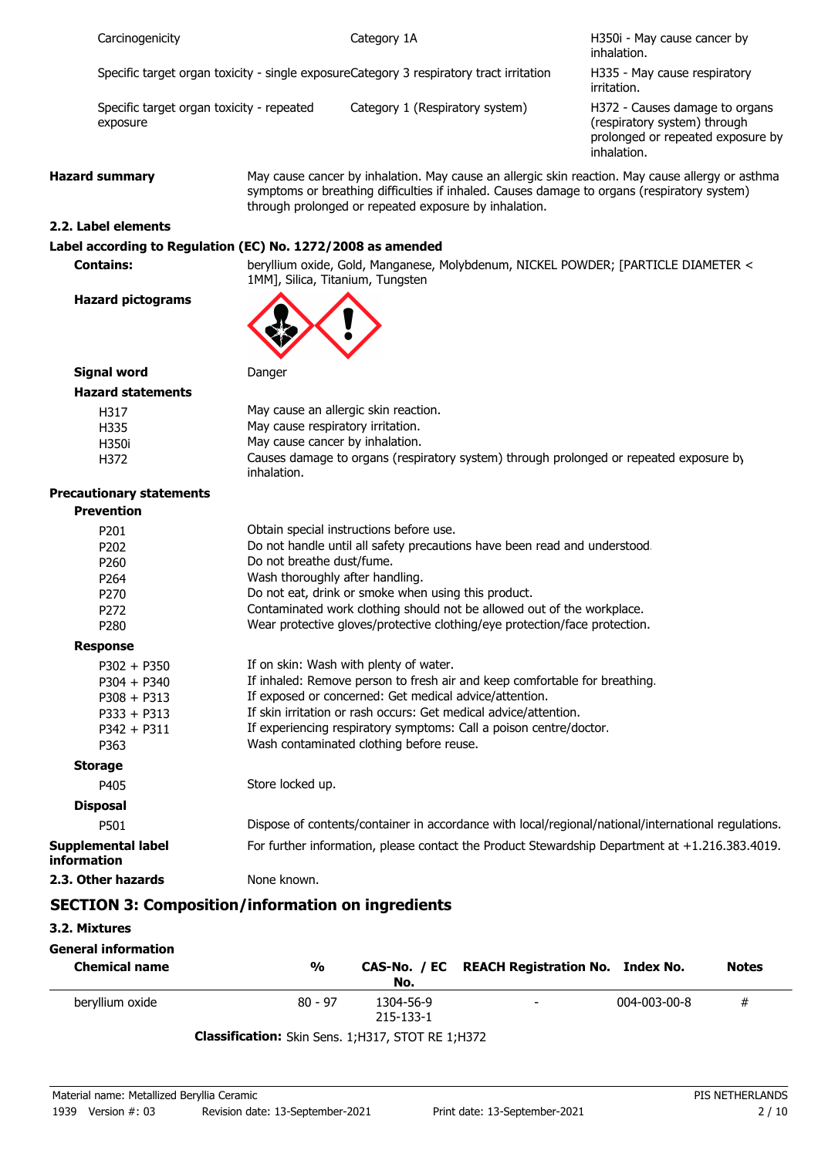| Carcinogenicity                                                                                              |                           | Category 1A                                                                                                                                                                                                                                                                                                                                                            | H350i - May cause cancer by<br>inhalation.                                                                         |  |
|--------------------------------------------------------------------------------------------------------------|---------------------------|------------------------------------------------------------------------------------------------------------------------------------------------------------------------------------------------------------------------------------------------------------------------------------------------------------------------------------------------------------------------|--------------------------------------------------------------------------------------------------------------------|--|
|                                                                                                              |                           | Specific target organ toxicity - single exposureCategory 3 respiratory tract irritation                                                                                                                                                                                                                                                                                | H335 - May cause respiratory<br>irritation.                                                                        |  |
| Specific target organ toxicity - repeated<br>exposure                                                        |                           | Category 1 (Respiratory system)                                                                                                                                                                                                                                                                                                                                        | H372 - Causes damage to organs<br>(respiratory system) through<br>prolonged or repeated exposure by<br>inhalation. |  |
| <b>Hazard summary</b>                                                                                        |                           | May cause cancer by inhalation. May cause an allergic skin reaction. May cause allergy or asthma<br>symptoms or breathing difficulties if inhaled. Causes damage to organs (respiratory system)<br>through prolonged or repeated exposure by inhalation.                                                                                                               |                                                                                                                    |  |
| 2.2. Label elements                                                                                          |                           |                                                                                                                                                                                                                                                                                                                                                                        |                                                                                                                    |  |
| Label according to Regulation (EC) No. 1272/2008 as amended                                                  |                           |                                                                                                                                                                                                                                                                                                                                                                        |                                                                                                                    |  |
| <b>Contains:</b>                                                                                             |                           | beryllium oxide, Gold, Manganese, Molybdenum, NICKEL POWDER; [PARTICLE DIAMETER <<br>1MM], Silica, Titanium, Tungsten                                                                                                                                                                                                                                                  |                                                                                                                    |  |
| <b>Hazard pictograms</b>                                                                                     |                           |                                                                                                                                                                                                                                                                                                                                                                        |                                                                                                                    |  |
| <b>Signal word</b>                                                                                           | Danger                    |                                                                                                                                                                                                                                                                                                                                                                        |                                                                                                                    |  |
| <b>Hazard statements</b>                                                                                     |                           |                                                                                                                                                                                                                                                                                                                                                                        |                                                                                                                    |  |
| H317<br>H335<br>H350i<br>H372                                                                                | inhalation.               | May cause an allergic skin reaction.<br>May cause respiratory irritation.<br>May cause cancer by inhalation.<br>Causes damage to organs (respiratory system) through prolonged or repeated exposure by                                                                                                                                                                 |                                                                                                                    |  |
|                                                                                                              |                           |                                                                                                                                                                                                                                                                                                                                                                        |                                                                                                                    |  |
| <b>Precautionary statements</b><br><b>Prevention</b>                                                         |                           |                                                                                                                                                                                                                                                                                                                                                                        |                                                                                                                    |  |
| P201<br>P202<br>P260<br>P264<br>P270<br>P272<br>P <sub>280</sub>                                             | Do not breathe dust/fume. | Obtain special instructions before use.<br>Do not handle until all safety precautions have been read and understood.<br>Wash thoroughly after handling.<br>Do not eat, drink or smoke when using this product.<br>Contaminated work clothing should not be allowed out of the workplace.<br>Wear protective gloves/protective clothing/eye protection/face protection. |                                                                                                                    |  |
|                                                                                                              |                           |                                                                                                                                                                                                                                                                                                                                                                        |                                                                                                                    |  |
| <b>Response</b><br>$P302 + P350$<br>$P304 + P340$<br>$P308 + P313$<br>$P333 + P313$<br>$P342 + P311$<br>P363 |                           | If on skin: Wash with plenty of water.<br>If inhaled: Remove person to fresh air and keep comfortable for breathing.<br>If exposed or concerned: Get medical advice/attention.<br>If skin irritation or rash occurs: Get medical advice/attention.<br>If experiencing respiratory symptoms: Call a poison centre/doctor.<br>Wash contaminated clothing before reuse.   |                                                                                                                    |  |
|                                                                                                              |                           |                                                                                                                                                                                                                                                                                                                                                                        |                                                                                                                    |  |
| <b>Storage</b>                                                                                               | Store locked up.          |                                                                                                                                                                                                                                                                                                                                                                        |                                                                                                                    |  |
| P405                                                                                                         |                           |                                                                                                                                                                                                                                                                                                                                                                        |                                                                                                                    |  |
| <b>Disposal</b>                                                                                              |                           |                                                                                                                                                                                                                                                                                                                                                                        |                                                                                                                    |  |
| P501<br><b>Supplemental label</b>                                                                            |                           | Dispose of contents/container in accordance with local/regional/national/international regulations.<br>For further information, please contact the Product Stewardship Department at +1.216.383.4019.                                                                                                                                                                  |                                                                                                                    |  |
| information<br>2.3. Other hazards                                                                            | None known.               |                                                                                                                                                                                                                                                                                                                                                                        |                                                                                                                    |  |
|                                                                                                              |                           |                                                                                                                                                                                                                                                                                                                                                                        |                                                                                                                    |  |
| <b>SECTION 3: Composition/information on ingredients</b>                                                     |                           |                                                                                                                                                                                                                                                                                                                                                                        |                                                                                                                    |  |
| 3.2. Mixtures                                                                                                |                           |                                                                                                                                                                                                                                                                                                                                                                        |                                                                                                                    |  |

**General information**

| <b>Chemical name</b> | $\frac{0}{0}$                                            | No.                    | CAS-No. / EC REACH Registration No. Index No. |              | <b>Notes</b> |
|----------------------|----------------------------------------------------------|------------------------|-----------------------------------------------|--------------|--------------|
| bervllium oxide      | $80 - 97$                                                | 1304-56-9<br>215-133-1 | -                                             | 004-003-00-8 | #            |
|                      | <b>Classification:</b> Skin Sens. 1;H317, STOT RE 1;H372 |                        |                                               |              |              |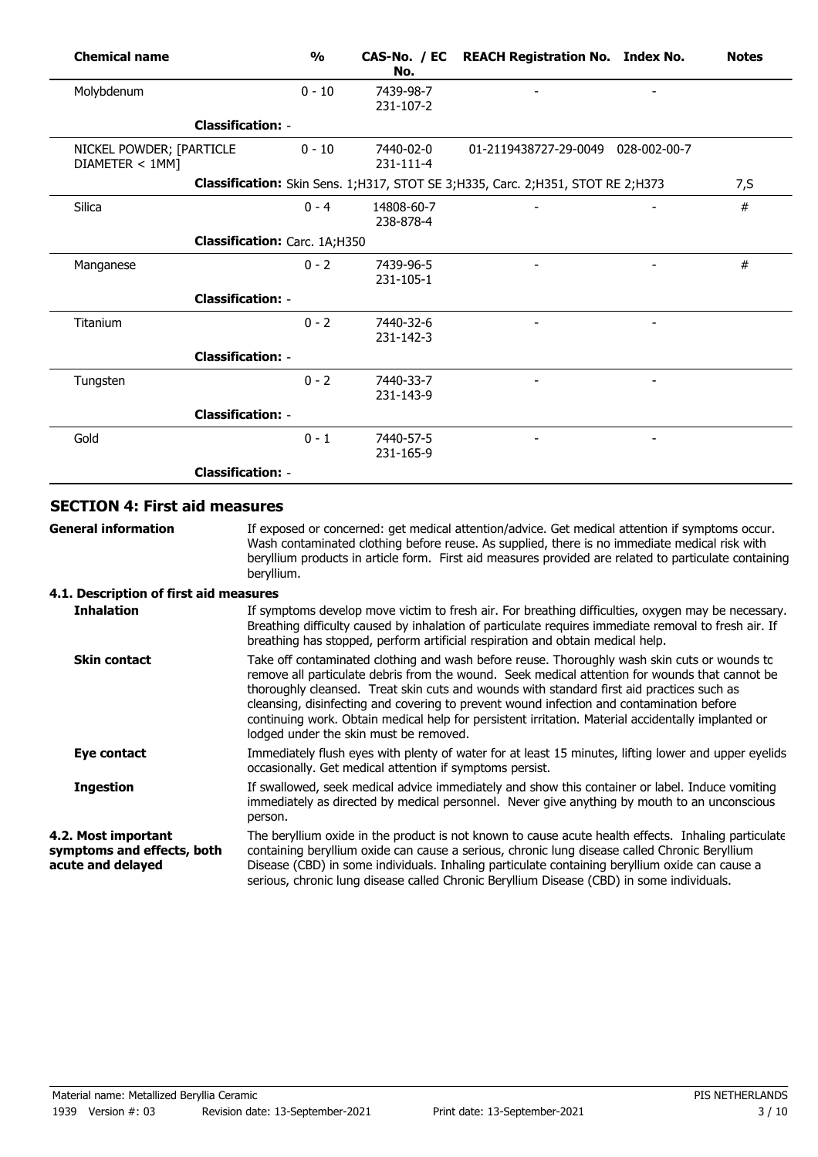| <b>Chemical name</b>                        |                               | $\frac{1}{2}$ | No.                     | CAS-No. / EC REACH Registration No. Index No.                                   | <b>Notes</b> |
|---------------------------------------------|-------------------------------|---------------|-------------------------|---------------------------------------------------------------------------------|--------------|
| Molybdenum                                  |                               | $0 - 10$      | 7439-98-7<br>231-107-2  |                                                                                 |              |
|                                             | <b>Classification: -</b>      |               |                         |                                                                                 |              |
| NICKEL POWDER; [PARTICLE<br>DIAMETER < 1MM] |                               | $0 - 10$      | 7440-02-0<br>231-111-4  | 01-2119438727-29-0049 028-002-00-7                                              |              |
|                                             |                               |               |                         | Classification: Skin Sens. 1;H317, STOT SE 3;H335, Carc. 2;H351, STOT RE 2;H373 | 7, S         |
| Silica                                      |                               | $0 - 4$       | 14808-60-7<br>238-878-4 |                                                                                 | #            |
|                                             | Classification: Carc. 1A;H350 |               |                         |                                                                                 |              |
| Manganese                                   |                               | $0 - 2$       | 7439-96-5<br>231-105-1  |                                                                                 | #            |
|                                             | <b>Classification: -</b>      |               |                         |                                                                                 |              |
| Titanium                                    |                               | $0 - 2$       | 7440-32-6<br>231-142-3  |                                                                                 |              |
|                                             | <b>Classification: -</b>      |               |                         |                                                                                 |              |
| Tungsten                                    |                               | $0 - 2$       | 7440-33-7<br>231-143-9  |                                                                                 |              |
|                                             | <b>Classification: -</b>      |               |                         |                                                                                 |              |
| Gold                                        |                               | $0 - 1$       | 7440-57-5<br>231-165-9  |                                                                                 |              |
|                                             | <b>Classification: -</b>      |               |                         |                                                                                 |              |

# **SECTION 4: First aid measures**

**General information**

If exposed or concerned: get medical attention/advice. Get medical attention if symptoms occur. Wash contaminated clothing before reuse. As supplied, there is no immediate medical risk with beryllium products in article form. First aid measures provided are related to particulate containing beryllium.

### **4.1. Description of first aid measures**

| <b>Inhalation</b>                                                      | If symptoms develop move victim to fresh air. For breathing difficulties, oxygen may be necessary.<br>Breathing difficulty caused by inhalation of particulate requires immediate removal to fresh air. If<br>breathing has stopped, perform artificial respiration and obtain medical help.                                                                                                                                                                                                                                            |
|------------------------------------------------------------------------|-----------------------------------------------------------------------------------------------------------------------------------------------------------------------------------------------------------------------------------------------------------------------------------------------------------------------------------------------------------------------------------------------------------------------------------------------------------------------------------------------------------------------------------------|
| <b>Skin contact</b>                                                    | Take off contaminated clothing and wash before reuse. Thoroughly wash skin cuts or wounds to<br>remove all particulate debris from the wound. Seek medical attention for wounds that cannot be<br>thoroughly cleansed. Treat skin cuts and wounds with standard first aid practices such as<br>cleansing, disinfecting and covering to prevent wound infection and contamination before<br>continuing work. Obtain medical help for persistent irritation. Material accidentally implanted or<br>lodged under the skin must be removed. |
| Eye contact                                                            | Immediately flush eyes with plenty of water for at least 15 minutes, lifting lower and upper eyelids<br>occasionally. Get medical attention if symptoms persist.                                                                                                                                                                                                                                                                                                                                                                        |
| <b>Ingestion</b>                                                       | If swallowed, seek medical advice immediately and show this container or label. Induce vomiting<br>immediately as directed by medical personnel. Never give anything by mouth to an unconscious<br>person.                                                                                                                                                                                                                                                                                                                              |
| 4.2. Most important<br>symptoms and effects, both<br>acute and delayed | The beryllium oxide in the product is not known to cause acute health effects. Inhaling particulate<br>containing beryllium oxide can cause a serious, chronic lung disease called Chronic Beryllium<br>Disease (CBD) in some individuals. Inhaling particulate containing beryllium oxide can cause a<br>serious, chronic lung disease called Chronic Beryllium Disease (CBD) in some individuals.                                                                                                                                     |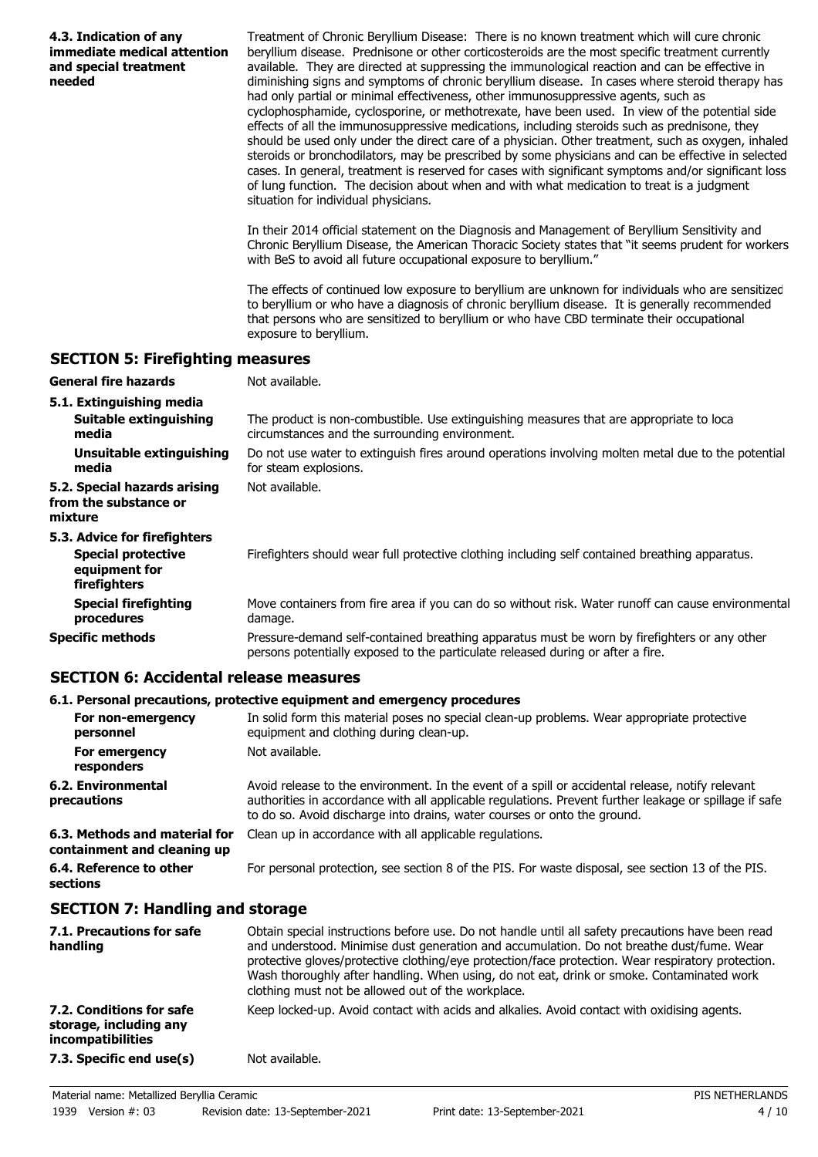| 4.3. Indication of any<br>immediate medical attention<br>and special treatment<br>needed | Treatment of Chronic Beryllium Disease: There is no known treatment which will cure chronic<br>beryllium disease. Prednisone or other corticosteroids are the most specific treatment currently<br>available. They are directed at suppressing the immunological reaction and can be effective in<br>diminishing signs and symptoms of chronic beryllium disease. In cases where steroid therapy has<br>had only partial or minimal effectiveness, other immunosuppressive agents, such as<br>cyclophosphamide, cyclosporine, or methotrexate, have been used. In view of the potential side<br>effects of all the immunosuppressive medications, including steroids such as prednisone, they<br>should be used only under the direct care of a physician. Other treatment, such as oxygen, inhaled<br>steroids or bronchodilators, may be prescribed by some physicians and can be effective in selected<br>cases. In general, treatment is reserved for cases with significant symptoms and/or significant loss<br>of lung function. The decision about when and with what medication to treat is a judgment<br>situation for individual physicians.<br>In their 2014 official statement on the Diagnosis and Management of Beryllium Sensitivity and<br>Chronic Beryllium Disease, the American Thoracic Society states that "it seems prudent for workers |
|------------------------------------------------------------------------------------------|---------------------------------------------------------------------------------------------------------------------------------------------------------------------------------------------------------------------------------------------------------------------------------------------------------------------------------------------------------------------------------------------------------------------------------------------------------------------------------------------------------------------------------------------------------------------------------------------------------------------------------------------------------------------------------------------------------------------------------------------------------------------------------------------------------------------------------------------------------------------------------------------------------------------------------------------------------------------------------------------------------------------------------------------------------------------------------------------------------------------------------------------------------------------------------------------------------------------------------------------------------------------------------------------------------------------------------------------------------------|
|                                                                                          | with BeS to avoid all future occupational exposure to beryllium."                                                                                                                                                                                                                                                                                                                                                                                                                                                                                                                                                                                                                                                                                                                                                                                                                                                                                                                                                                                                                                                                                                                                                                                                                                                                                             |
|                                                                                          | The effects of continued low exposure to beryllium are unknown for individuals who are sensitized<br>to beryllium or who have a diagnosis of chronic beryllium disease. It is generally recommended<br>that persons who are sensitized to beryllium or who have CBD terminate their occupational<br>exposure to beryllium.                                                                                                                                                                                                                                                                                                                                                                                                                                                                                                                                                                                                                                                                                                                                                                                                                                                                                                                                                                                                                                    |
| <b>SECTION 5: Firefighting measures</b>                                                  |                                                                                                                                                                                                                                                                                                                                                                                                                                                                                                                                                                                                                                                                                                                                                                                                                                                                                                                                                                                                                                                                                                                                                                                                                                                                                                                                                               |
| <b>General fire hazards</b>                                                              | Not available.                                                                                                                                                                                                                                                                                                                                                                                                                                                                                                                                                                                                                                                                                                                                                                                                                                                                                                                                                                                                                                                                                                                                                                                                                                                                                                                                                |
| 5.1. Extinguishing media                                                                 |                                                                                                                                                                                                                                                                                                                                                                                                                                                                                                                                                                                                                                                                                                                                                                                                                                                                                                                                                                                                                                                                                                                                                                                                                                                                                                                                                               |
| Suitable extinguishing<br>media                                                          | The product is non-combustible. Use extinguishing measures that are appropriate to loca<br>circumstances and the surrounding environment.                                                                                                                                                                                                                                                                                                                                                                                                                                                                                                                                                                                                                                                                                                                                                                                                                                                                                                                                                                                                                                                                                                                                                                                                                     |
| <b>Unsuitable extinguishing</b><br>media                                                 | Do not use water to extinguish fires around operations involving molten metal due to the potential<br>for steam explosions.                                                                                                                                                                                                                                                                                                                                                                                                                                                                                                                                                                                                                                                                                                                                                                                                                                                                                                                                                                                                                                                                                                                                                                                                                                   |
| 5.2. Special hazards arising<br>from the substance or<br>mixture                         | Not available.                                                                                                                                                                                                                                                                                                                                                                                                                                                                                                                                                                                                                                                                                                                                                                                                                                                                                                                                                                                                                                                                                                                                                                                                                                                                                                                                                |
| 5.3. Advice for firefighters                                                             |                                                                                                                                                                                                                                                                                                                                                                                                                                                                                                                                                                                                                                                                                                                                                                                                                                                                                                                                                                                                                                                                                                                                                                                                                                                                                                                                                               |
| <b>Special protective</b><br>equipment for<br>firefighters                               | Firefighters should wear full protective clothing including self contained breathing apparatus.                                                                                                                                                                                                                                                                                                                                                                                                                                                                                                                                                                                                                                                                                                                                                                                                                                                                                                                                                                                                                                                                                                                                                                                                                                                               |
| <b>Special firefighting</b><br>procedures                                                | Move containers from fire area if you can do so without risk. Water runoff can cause environmental<br>damage.                                                                                                                                                                                                                                                                                                                                                                                                                                                                                                                                                                                                                                                                                                                                                                                                                                                                                                                                                                                                                                                                                                                                                                                                                                                 |
| <b>Specific methods</b>                                                                  | Pressure-demand self-contained breathing apparatus must be worn by firefighters or any other<br>persons potentially exposed to the particulate released during or after a fire.                                                                                                                                                                                                                                                                                                                                                                                                                                                                                                                                                                                                                                                                                                                                                                                                                                                                                                                                                                                                                                                                                                                                                                               |
| <b>SECTION 6: Accidental release measures</b>                                            |                                                                                                                                                                                                                                                                                                                                                                                                                                                                                                                                                                                                                                                                                                                                                                                                                                                                                                                                                                                                                                                                                                                                                                                                                                                                                                                                                               |

# **6.1. Personal precautions, protective equipment and emergency procedures**

|                                                              | oral i crocini preduditonoj protective eguipnicht unu chief gener proteudi do                                                                                                                                                                                                          |
|--------------------------------------------------------------|----------------------------------------------------------------------------------------------------------------------------------------------------------------------------------------------------------------------------------------------------------------------------------------|
| For non-emergency<br>personnel                               | In solid form this material poses no special clean-up problems. Wear appropriate protective<br>equipment and clothing during clean-up.                                                                                                                                                 |
| For emergency<br>responders                                  | Not available.                                                                                                                                                                                                                                                                         |
| 6.2. Environmental<br>precautions                            | Avoid release to the environment. In the event of a spill or accidental release, notify relevant<br>authorities in accordance with all applicable regulations. Prevent further leakage or spillage if safe<br>to do so. Avoid discharge into drains, water courses or onto the ground. |
| 6.3. Methods and material for<br>containment and cleaning up | Clean up in accordance with all applicable regulations.                                                                                                                                                                                                                                |
| 6.4. Reference to other<br>sections                          | For personal protection, see section 8 of the PIS. For waste disposal, see section 13 of the PIS.                                                                                                                                                                                      |

# **SECTION 7: Handling and storage**

| 7.1. Precautions for safe<br>handling                                          | Obtain special instructions before use. Do not handle until all safety precautions have been read<br>and understood. Minimise dust generation and accumulation. Do not breathe dust/fume. Wear<br>protective gloves/protective clothing/eye protection/face protection. Wear respiratory protection.<br>Wash thoroughly after handling. When using, do not eat, drink or smoke. Contaminated work<br>clothing must not be allowed out of the workplace. |
|--------------------------------------------------------------------------------|---------------------------------------------------------------------------------------------------------------------------------------------------------------------------------------------------------------------------------------------------------------------------------------------------------------------------------------------------------------------------------------------------------------------------------------------------------|
| 7.2. Conditions for safe<br>storage, including any<br><i>incompatibilities</i> | Keep locked-up. Avoid contact with acids and alkalies. Avoid contact with oxidising agents.                                                                                                                                                                                                                                                                                                                                                             |
| 7.3. Specific end use(s)                                                       | Not available.                                                                                                                                                                                                                                                                                                                                                                                                                                          |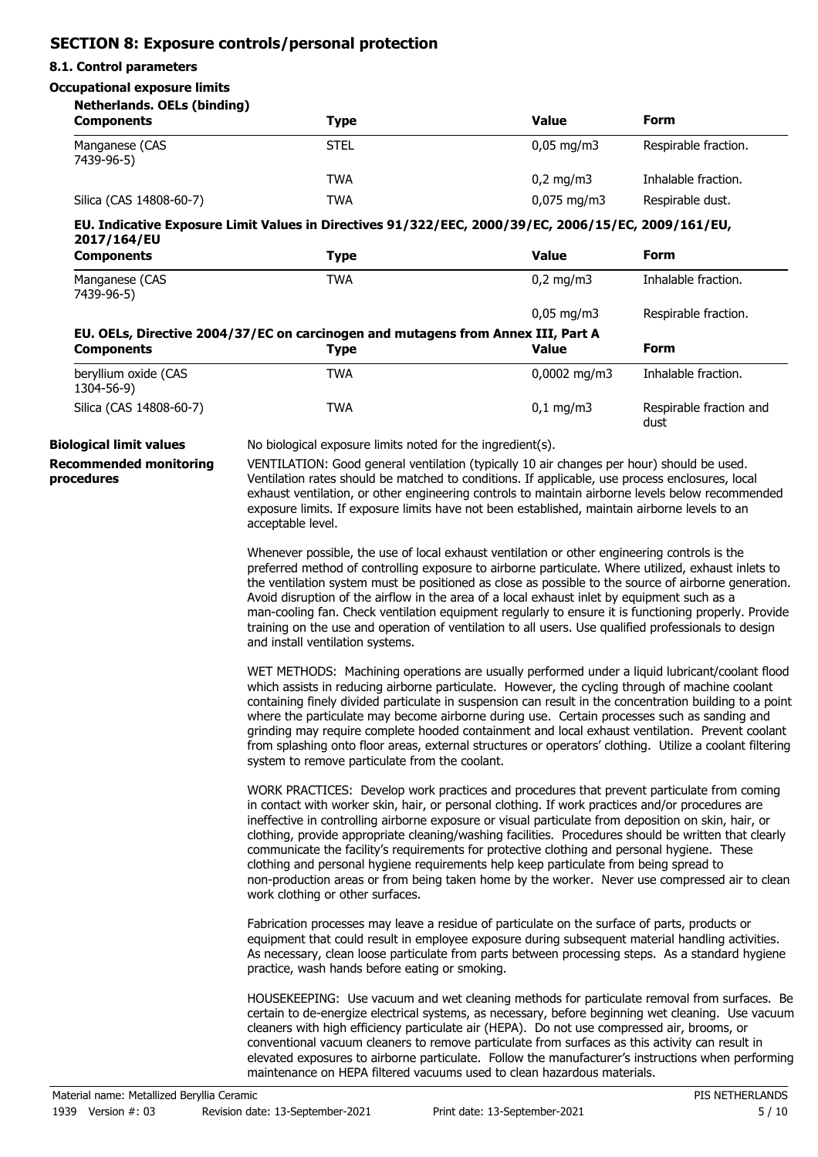# **SECTION 8: Exposure controls/personal protection**

# **8.1. Control parameters**

### **Occupational exposure limits**

| <b>Netherlands. OELs (binding)</b><br><b>Components</b> | Type        | <b>Value</b>           | <b>Form</b>          |
|---------------------------------------------------------|-------------|------------------------|----------------------|
| Manganese (CAS<br>7439-96-5)                            | <b>STEL</b> | $0.05 \,\mathrm{mq/m}$ | Respirable fraction. |
|                                                         | TWA         | $0.2 \text{ mg/m}$ 3   | Inhalable fraction.  |
| Silica (CAS 14808-60-7)                                 | TWA         | $0,075 \text{ mg/m}$   | Respirable dust.     |

### **EU. Indicative Exposure Limit Values in Directives 91/322/EEC, 2000/39/EC, 2006/15/EC, 2009/161/EU, 2017/164/EU Components Type Value Form**

| -------------                                                                    | .    |                          |                                  |
|----------------------------------------------------------------------------------|------|--------------------------|----------------------------------|
| Manganese (CAS<br>7439-96-5)                                                     | TWA  | $0,2$ mg/m3              | Inhalable fraction.              |
|                                                                                  |      | $0.05 \,\mathrm{mq/m}$ 3 | Respirable fraction.             |
| EU. OELs, Directive 2004/37/EC on carcinogen and mutagens from Annex III, Part A |      |                          |                                  |
| <b>Components</b>                                                                | Type | <b>Value</b>             | <b>Form</b>                      |
| beryllium oxide (CAS<br>1304-56-9)                                               | TWA  | $0,0002 \,\mathrm{mq/m}$ | Inhalable fraction.              |
| Silica (CAS 14808-60-7)                                                          | TWA  | $0,1 \, \text{mg/m}$     | Respirable fraction and<br>dust. |

**Recommended monitoring procedures**

**Biological limit values** No biological exposure limits noted for the ingredient(s).

VENTILATION: Good general ventilation (typically 10 air changes per hour) should be used. Ventilation rates should be matched to conditions. If applicable, use process enclosures, local exhaust ventilation, or other engineering controls to maintain airborne levels below recommended exposure limits. If exposure limits have not been established, maintain airborne levels to an acceptable level.

Whenever possible, the use of local exhaust ventilation or other engineering controls is the preferred method of controlling exposure to airborne particulate. Where utilized, exhaust inlets to the ventilation system must be positioned as close as possible to the source of airborne generation. Avoid disruption of the airflow in the area of a local exhaust inlet by equipment such as a man-cooling fan. Check ventilation equipment regularly to ensure it is functioning properly. Provide training on the use and operation of ventilation to all users. Use qualified professionals to design and install ventilation systems.

WET METHODS: Machining operations are usually performed under a liquid lubricant/coolant flood which assists in reducing airborne particulate. However, the cycling through of machine coolant containing finely divided particulate in suspension can result in the concentration building to a point where the particulate may become airborne during use. Certain processes such as sanding and grinding may require complete hooded containment and local exhaust ventilation. Prevent coolant from splashing onto floor areas, external structures or operators' clothing. Utilize a coolant filtering system to remove particulate from the coolant.

WORK PRACTICES: Develop work practices and procedures that prevent particulate from coming in contact with worker skin, hair, or personal clothing. If work practices and/or procedures are ineffective in controlling airborne exposure or visual particulate from deposition on skin, hair, or clothing, provide appropriate cleaning/washing facilities. Procedures should be written that clearly communicate the facility's requirements for protective clothing and personal hygiene. These clothing and personal hygiene requirements help keep particulate from being spread to non-production areas or from being taken home by the worker. Never use compressed air to clean work clothing or other surfaces.

Fabrication processes may leave a residue of particulate on the surface of parts, products or equipment that could result in employee exposure during subsequent material handling activities. As necessary, clean loose particulate from parts between processing steps. As a standard hygiene practice, wash hands before eating or smoking.

HOUSEKEEPING: Use vacuum and wet cleaning methods for particulate removal from surfaces. Be certain to de-energize electrical systems, as necessary, before beginning wet cleaning. Use vacuum cleaners with high efficiency particulate air (HEPA). Do not use compressed air, brooms, or conventional vacuum cleaners to remove particulate from surfaces as this activity can result in elevated exposures to airborne particulate. Follow the manufacturer's instructions when performing maintenance on HEPA filtered vacuums used to clean hazardous materials.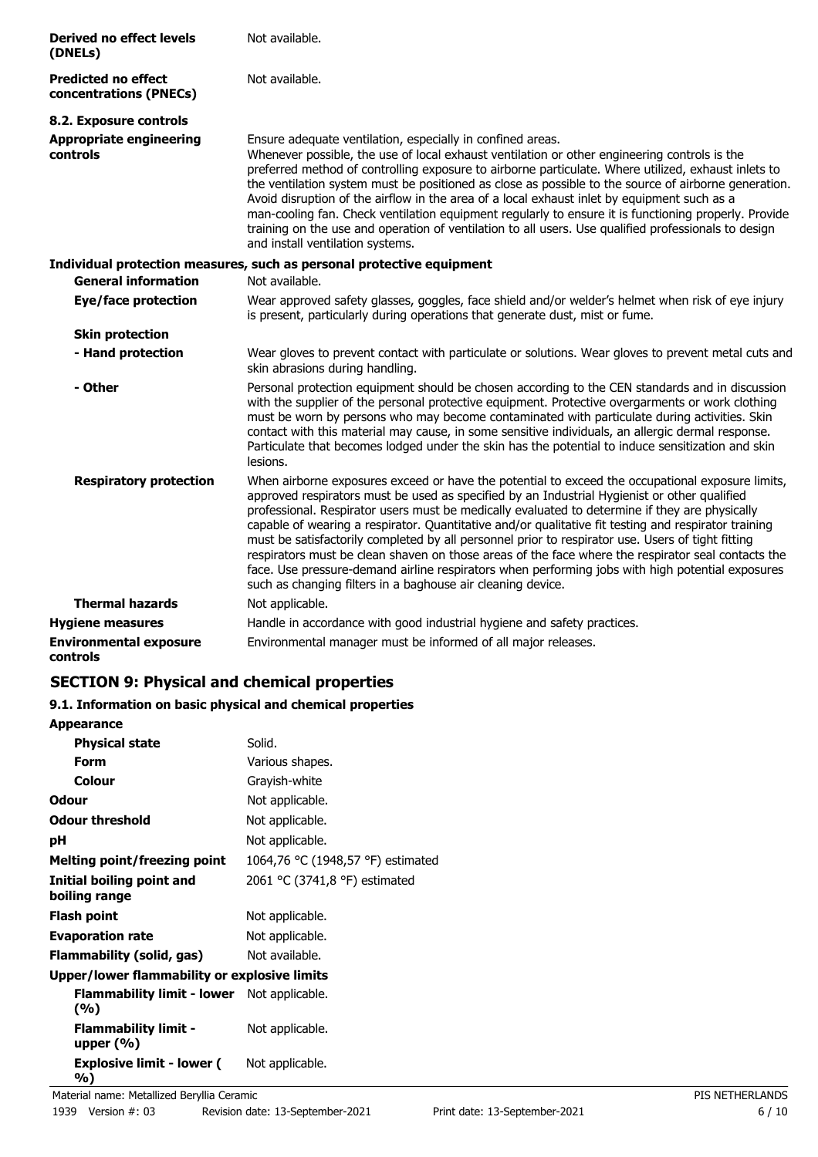| <b>Derived no effect levels</b><br>(DNELs)           | Not available.                                                                                                                                                                                                                                                                                                                                                                                                                                                                                                                                                                                                                                                                                                                                                                           |
|------------------------------------------------------|------------------------------------------------------------------------------------------------------------------------------------------------------------------------------------------------------------------------------------------------------------------------------------------------------------------------------------------------------------------------------------------------------------------------------------------------------------------------------------------------------------------------------------------------------------------------------------------------------------------------------------------------------------------------------------------------------------------------------------------------------------------------------------------|
| <b>Predicted no effect</b><br>concentrations (PNECs) | Not available.                                                                                                                                                                                                                                                                                                                                                                                                                                                                                                                                                                                                                                                                                                                                                                           |
| 8.2. Exposure controls                               |                                                                                                                                                                                                                                                                                                                                                                                                                                                                                                                                                                                                                                                                                                                                                                                          |
| <b>Appropriate engineering</b><br>controls           | Ensure adequate ventilation, especially in confined areas.<br>Whenever possible, the use of local exhaust ventilation or other engineering controls is the<br>preferred method of controlling exposure to airborne particulate. Where utilized, exhaust inlets to<br>the ventilation system must be positioned as close as possible to the source of airborne generation.<br>Avoid disruption of the airflow in the area of a local exhaust inlet by equipment such as a<br>man-cooling fan. Check ventilation equipment regularly to ensure it is functioning properly. Provide<br>training on the use and operation of ventilation to all users. Use qualified professionals to design<br>and install ventilation systems.                                                             |
|                                                      | Individual protection measures, such as personal protective equipment                                                                                                                                                                                                                                                                                                                                                                                                                                                                                                                                                                                                                                                                                                                    |
| <b>General information</b>                           | Not available.                                                                                                                                                                                                                                                                                                                                                                                                                                                                                                                                                                                                                                                                                                                                                                           |
| <b>Eye/face protection</b>                           | Wear approved safety glasses, goggles, face shield and/or welder's helmet when risk of eye injury<br>is present, particularly during operations that generate dust, mist or fume.                                                                                                                                                                                                                                                                                                                                                                                                                                                                                                                                                                                                        |
| <b>Skin protection</b>                               |                                                                                                                                                                                                                                                                                                                                                                                                                                                                                                                                                                                                                                                                                                                                                                                          |
| - Hand protection                                    | Wear gloves to prevent contact with particulate or solutions. Wear gloves to prevent metal cuts and<br>skin abrasions during handling.                                                                                                                                                                                                                                                                                                                                                                                                                                                                                                                                                                                                                                                   |
| - Other                                              | Personal protection equipment should be chosen according to the CEN standards and in discussion<br>with the supplier of the personal protective equipment. Protective overgarments or work clothing<br>must be worn by persons who may become contaminated with particulate during activities. Skin<br>contact with this material may cause, in some sensitive individuals, an allergic dermal response.<br>Particulate that becomes lodged under the skin has the potential to induce sensitization and skin<br>lesions.                                                                                                                                                                                                                                                                |
| <b>Respiratory protection</b>                        | When airborne exposures exceed or have the potential to exceed the occupational exposure limits,<br>approved respirators must be used as specified by an Industrial Hygienist or other qualified<br>professional. Respirator users must be medically evaluated to determine if they are physically<br>capable of wearing a respirator. Quantitative and/or qualitative fit testing and respirator training<br>must be satisfactorily completed by all personnel prior to respirator use. Users of tight fitting<br>respirators must be clean shaven on those areas of the face where the respirator seal contacts the<br>face. Use pressure-demand airline respirators when performing jobs with high potential exposures<br>such as changing filters in a baghouse air cleaning device. |
| <b>Thermal hazards</b>                               | Not applicable.                                                                                                                                                                                                                                                                                                                                                                                                                                                                                                                                                                                                                                                                                                                                                                          |
| <b>Hygiene measures</b>                              | Handle in accordance with good industrial hygiene and safety practices.                                                                                                                                                                                                                                                                                                                                                                                                                                                                                                                                                                                                                                                                                                                  |
| <b>Environmental exposure</b><br>controls            | Environmental manager must be informed of all major releases.                                                                                                                                                                                                                                                                                                                                                                                                                                                                                                                                                                                                                                                                                                                            |

# **SECTION 9: Physical and chemical properties**

# **9.1. Information on basic physical and chemical properties**

| <b>Appearance</b>                                        |                                   |
|----------------------------------------------------------|-----------------------------------|
| <b>Physical state</b>                                    | Solid.                            |
| Form                                                     | Various shapes.                   |
| Colour                                                   | Grayish-white                     |
| <b>Odour</b>                                             | Not applicable.                   |
| <b>Odour threshold</b>                                   | Not applicable.                   |
| рH                                                       | Not applicable.                   |
| Melting point/freezing point                             | 1064,76 °C (1948,57 °F) estimated |
| <b>Initial boiling point and</b><br>boiling range        | 2061 °C (3741,8 °F) estimated     |
| Flash point                                              | Not applicable.                   |
| <b>Evaporation rate</b>                                  | Not applicable.                   |
| Flammability (solid, gas)                                | Not available.                    |
| Upper/lower flammability or explosive limits             |                                   |
| <b>Flammability limit - lower</b> Not applicable.<br>(%) |                                   |
| <b>Flammability limit -</b><br>upper $(% )$              | Not applicable.                   |
| <b>Explosive limit - lower (</b><br>%)                   | Not applicable.                   |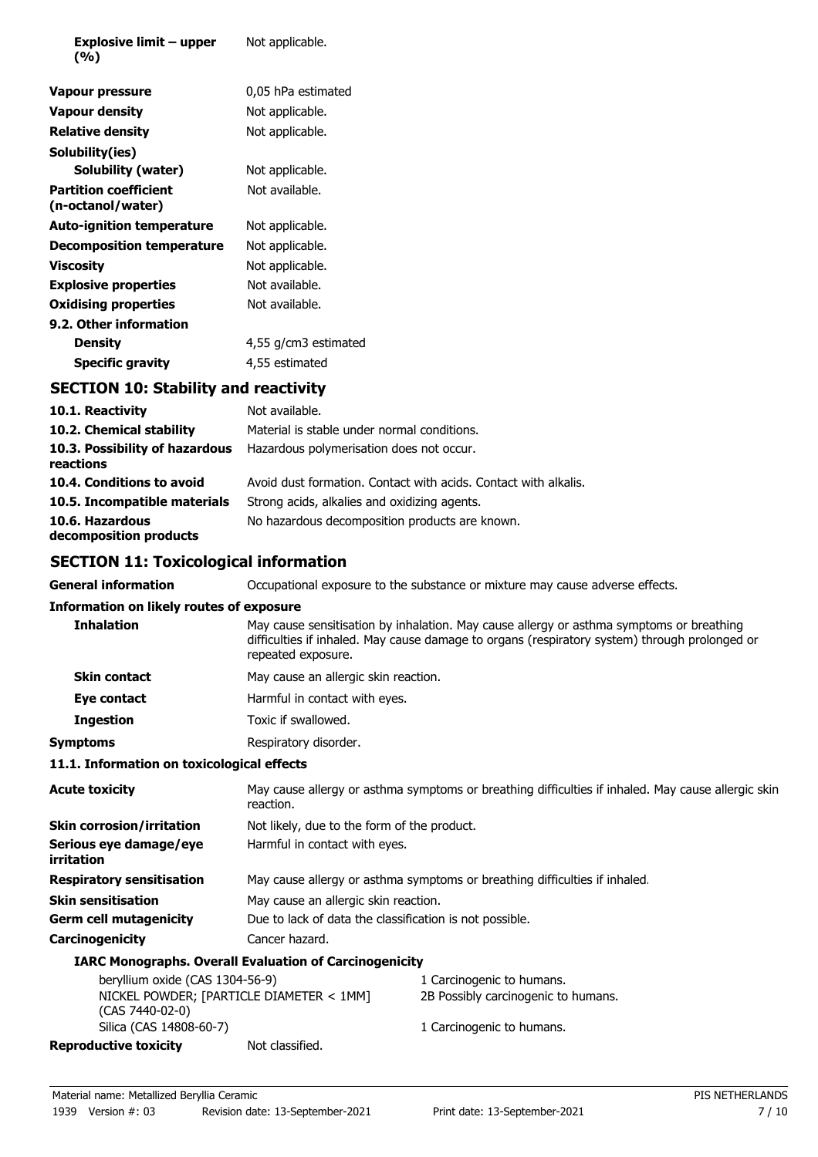| Explosive limit – upper<br>(%)                    | Not applicable.      |
|---------------------------------------------------|----------------------|
| Vapour pressure                                   | 0,05 hPa estimated   |
| Vapour density                                    | Not applicable.      |
| <b>Relative density</b>                           | Not applicable.      |
| Solubility(ies)                                   |                      |
| Solubility (water)                                | Not applicable.      |
| <b>Partition coefficient</b><br>(n-octanol/water) | Not available.       |
| <b>Auto-ignition temperature</b>                  | Not applicable.      |
| <b>Decomposition temperature</b>                  | Not applicable.      |
| Viscosity                                         | Not applicable.      |
| <b>Explosive properties</b>                       | Not available.       |
| <b>Oxidising properties</b>                       | Not available.       |
| 9.2. Other information                            |                      |
| Density                                           | 4,55 g/cm3 estimated |
| <b>Specific gravity</b>                           | 4,55 estimated       |

# **SECTION 10: Stability and reactivity**

| 10.1. Reactivity                            | Not available.                                                  |
|---------------------------------------------|-----------------------------------------------------------------|
| 10.2. Chemical stability                    | Material is stable under normal conditions.                     |
| 10.3. Possibility of hazardous<br>reactions | Hazardous polymerisation does not occur.                        |
| 10.4. Conditions to avoid                   | Avoid dust formation. Contact with acids. Contact with alkalis. |
| 10.5. Incompatible materials                | Strong acids, alkalies and oxidizing agents.                    |
| 10.6. Hazardous<br>decomposition products   | No hazardous decomposition products are known.                  |

# **SECTION 11: Toxicological information**

**General information CCCUPATION** Occupational exposure to the substance or mixture may cause adverse effects.

# **Information on likely routes of exposure**

| INTER THE EXPOSURE THAT ITS INTERFER       |                                                                                                                                                                                                                 |
|--------------------------------------------|-----------------------------------------------------------------------------------------------------------------------------------------------------------------------------------------------------------------|
| <b>Inhalation</b>                          | May cause sensitisation by inhalation. May cause allergy or asthma symptoms or breathing<br>difficulties if inhaled. May cause damage to organs (respiratory system) through prolonged or<br>repeated exposure. |
| <b>Skin contact</b>                        | May cause an allergic skin reaction.                                                                                                                                                                            |
| Eye contact                                | Harmful in contact with eyes.                                                                                                                                                                                   |
| <b>Ingestion</b>                           | Toxic if swallowed.                                                                                                                                                                                             |
| Symptoms                                   | Respiratory disorder.                                                                                                                                                                                           |
| 11.1. Information on toxicological effects |                                                                                                                                                                                                                 |
| Acute toxicity                             | May cause allergy or asthma symptoms or breathing difficulties if inhaled. May cause allergic skin<br>reaction.                                                                                                 |
| Skin corrosion/irritation                  | Not likely, due to the form of the product.                                                                                                                                                                     |
| Serious eye damage/eye<br>irritation       | Harmful in contact with eyes.                                                                                                                                                                                   |
| Respiratory sensitisation                  | May cause allergy or asthma symptoms or breathing difficulties if inhaled.                                                                                                                                      |
| Skin sensitisation                         | May cause an allergic skin reaction.                                                                                                                                                                            |
| Germ cell mutagenicity                     | Due to lack of data the classification is not possible.                                                                                                                                                         |

**Carcinogenicity** Cancer hazard.

# **IARC Monographs. Overall Evaluation of Carcinogenicity**

| beryllium oxide (CAS 1304-56-9)<br>NICKEL POWDER; [PARTICLE DIAMETER < 1MM] |                 | 1 Carcinogenic to humans.<br>2B Possibly carcinogenic to humans. |
|-----------------------------------------------------------------------------|-----------------|------------------------------------------------------------------|
| $(CAS 7440-02-0)$<br>Silica (CAS 14808-60-7)                                |                 | 1 Carcinogenic to humans.                                        |
| <b>Reproductive toxicity</b>                                                | Not classified. |                                                                  |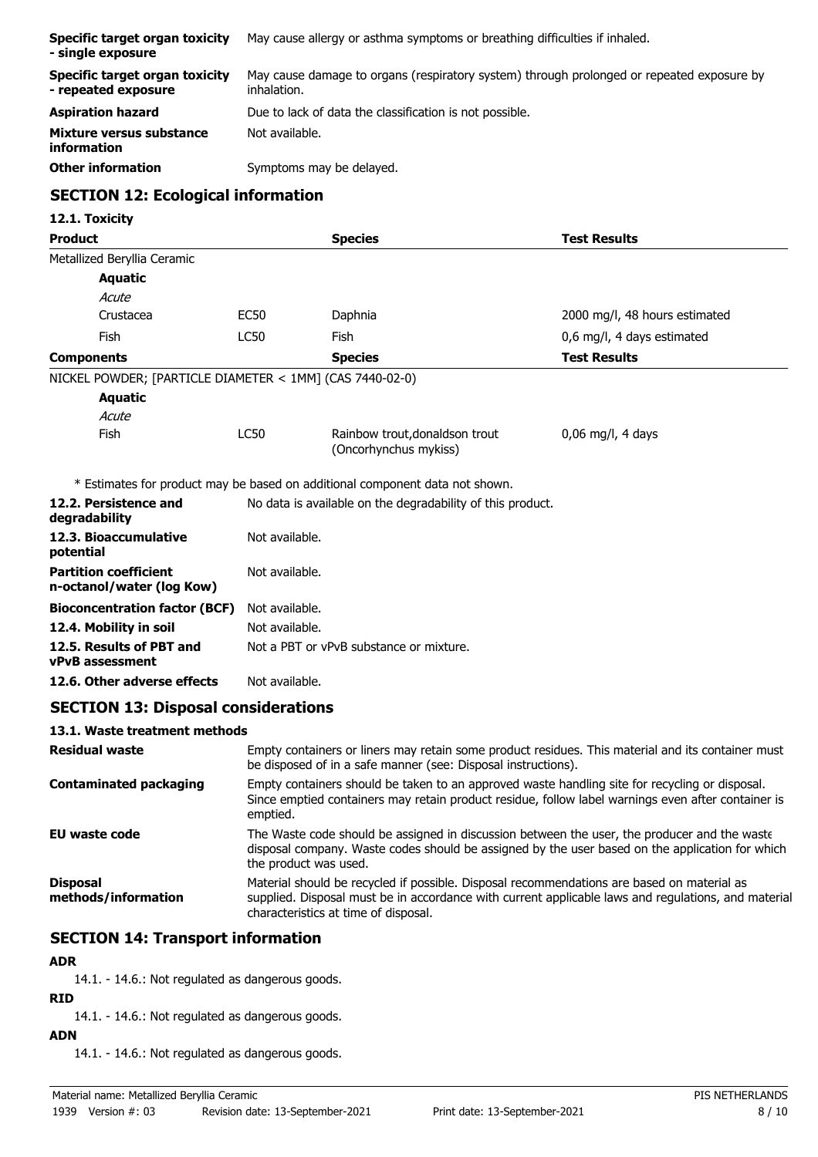| Specific target organ toxicity<br>- single exposure   | May cause allergy or asthma symptoms or breathing difficulties if inhaled.                               |
|-------------------------------------------------------|----------------------------------------------------------------------------------------------------------|
| Specific target organ toxicity<br>- repeated exposure | May cause damage to organs (respiratory system) through prolonged or repeated exposure by<br>inhalation. |
| <b>Aspiration hazard</b>                              | Due to lack of data the classification is not possible.                                                  |
| Mixture versus substance<br>information               | Not available.                                                                                           |
| <b>Other information</b>                              | Symptoms may be delayed.                                                                                 |

# **SECTION 12: Ecological information**

| 12.1. Toxicity |  |
|----------------|--|
|----------------|--|

| <b>Product</b>                                            |                | <b>Species</b>                                                               | <b>Test Results</b>           |
|-----------------------------------------------------------|----------------|------------------------------------------------------------------------------|-------------------------------|
| Metallized Beryllia Ceramic                               |                |                                                                              |                               |
| <b>Aquatic</b>                                            |                |                                                                              |                               |
| Acute                                                     |                |                                                                              |                               |
| Crustacea                                                 | <b>EC50</b>    | Daphnia                                                                      | 2000 mg/l, 48 hours estimated |
| <b>Fish</b>                                               | <b>LC50</b>    | Fish                                                                         | 0,6 mg/l, 4 days estimated    |
| <b>Components</b>                                         |                | <b>Species</b>                                                               | <b>Test Results</b>           |
| NICKEL POWDER; [PARTICLE DIAMETER < 1MM] (CAS 7440-02-0)  |                |                                                                              |                               |
| <b>Aquatic</b>                                            |                |                                                                              |                               |
| Acute                                                     |                |                                                                              |                               |
| <b>Fish</b>                                               | <b>LC50</b>    | Rainbow trout, donaldson trout<br>(Oncorhynchus mykiss)                      | $0,06$ mg/l, 4 days           |
|                                                           |                | * Estimates for product may be based on additional component data not shown. |                               |
| 12.2. Persistence and<br>degradability                    |                | No data is available on the degradability of this product.                   |                               |
| 12.3. Bioaccumulative<br>potential                        | Not available. |                                                                              |                               |
| <b>Partition coefficient</b><br>n-octanol/water (log Kow) | Not available. |                                                                              |                               |
| <b>Bioconcentration factor (BCF)</b>                      | Not available. |                                                                              |                               |
| 12.4. Mobility in soil                                    | Not available. |                                                                              |                               |
| 12.5. Results of PBT and<br><b>vPvB</b> assessment        |                | Not a PBT or vPvB substance or mixture.                                      |                               |
| 12.6. Other adverse effects                               | Not available. |                                                                              |                               |

# **SECTION 13: Disposal considerations**

# **13.1. Waste treatment methods**

| <b>Residual waste</b>                  | Empty containers or liners may retain some product residues. This material and its container must<br>be disposed of in a safe manner (see: Disposal instructions).                                                                        |
|----------------------------------------|-------------------------------------------------------------------------------------------------------------------------------------------------------------------------------------------------------------------------------------------|
| <b>Contaminated packaging</b>          | Empty containers should be taken to an approved waste handling site for recycling or disposal.<br>Since emptied containers may retain product residue, follow label warnings even after container is<br>emptied.                          |
| EU waste code                          | The Waste code should be assigned in discussion between the user, the producer and the waste<br>disposal company. Waste codes should be assigned by the user based on the application for which<br>the product was used.                  |
| <b>Disposal</b><br>methods/information | Material should be recycled if possible. Disposal recommendations are based on material as<br>supplied. Disposal must be in accordance with current applicable laws and regulations, and material<br>characteristics at time of disposal. |

# **SECTION 14: Transport information**

### **ADR**

14.1. - 14.6.: Not regulated as dangerous goods.

# **RID**

14.1. - 14.6.: Not regulated as dangerous goods.

# **ADN**

14.1. - 14.6.: Not regulated as dangerous goods.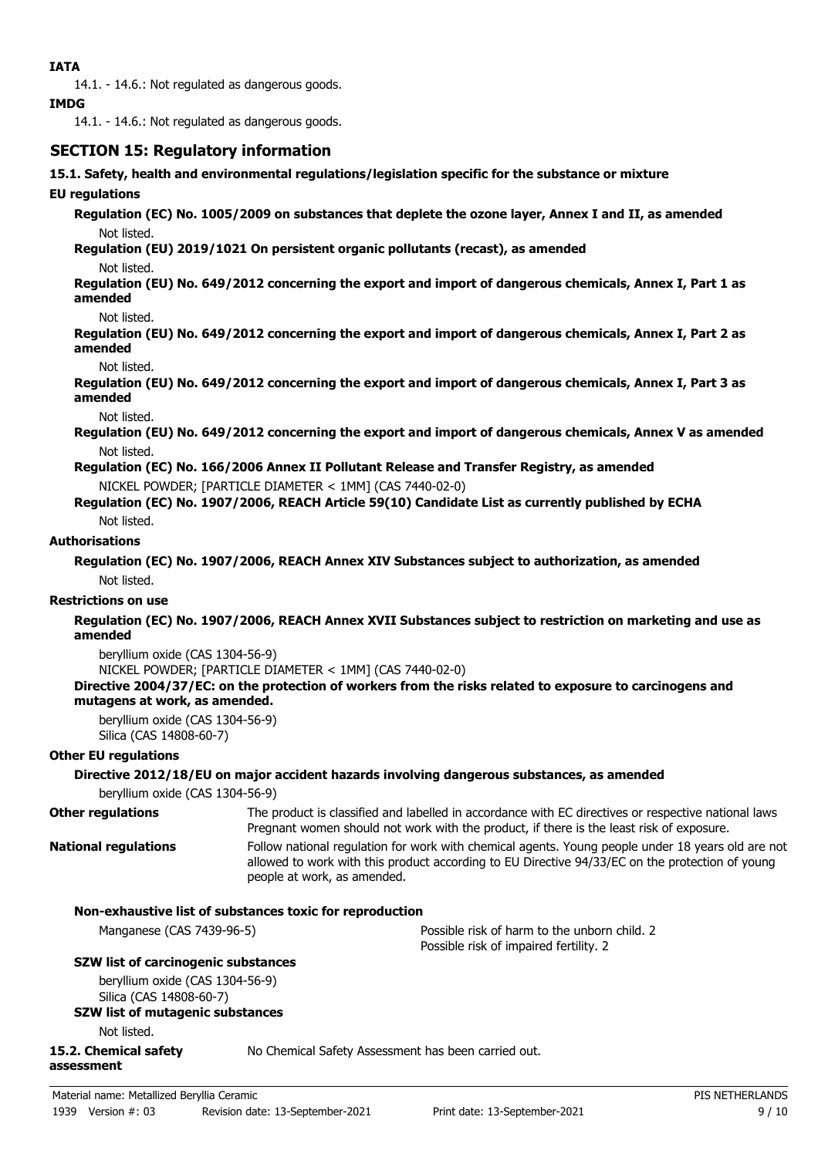14.1. - 14.6.: Not regulated as dangerous goods.

### **IMDG**

14.1. - 14.6.: Not regulated as dangerous goods.

# **SECTION 15: Regulatory information**

**15.1. Safety, health and environmental regulations/legislation specific for the substance or mixture**

### **EU regulations**

**Regulation (EC) No. 1005/2009 on substances that deplete the ozone layer, Annex I and II, as amended** Not listed.

**Regulation (EU) 2019/1021 On persistent organic pollutants (recast), as amended**

Not listed.

**Regulation (EU) No. 649/2012 concerning the export and import of dangerous chemicals, Annex I, Part 1 as amended**

Not listed.

**Regulation (EU) No. 649/2012 concerning the export and import of dangerous chemicals, Annex I, Part 2 as amended**

### Not listed.

**Regulation (EU) No. 649/2012 concerning the export and import of dangerous chemicals, Annex I, Part 3 as amended**

Not listed.

**Regulation (EU) No. 649/2012 concerning the export and import of dangerous chemicals, Annex V as amended** Not listed.

**Regulation (EC) No. 166/2006 Annex II Pollutant Release and Transfer Registry, as amended**

NICKEL POWDER; [PARTICLE DIAMETER < 1MM] (CAS 7440-02-0)

**Regulation (EC) No. 1907/2006, REACH Article 59(10) Candidate List as currently published by ECHA** Not listed.

### **Authorisations**

**Regulation (EC) No. 1907/2006, REACH Annex XIV Substances subject to authorization, as amended** Not listed.

### **Restrictions on use**

**Regulation (EC) No. 1907/2006, REACH Annex XVII Substances subject to restriction on marketing and use as amended**

beryllium oxide (CAS 1304-56-9)

NICKEL POWDER; [PARTICLE DIAMETER < 1MM] (CAS 7440-02-0)

**Directive 2004/37/EC: on the protection of workers from the risks related to exposure to carcinogens and mutagens at work, as amended.**

beryllium oxide (CAS 1304-56-9) Silica (CAS 14808-60-7)

### **Other EU regulations**

### **Directive 2012/18/EU on major accident hazards involving dangerous substances, as amended**

people at work, as amended.

beryllium oxide (CAS 1304-56-9)

### **Other regulations**

The product is classified and labelled in accordance with EC directives or respective national laws. Pregnant women should not work with the product, if there is the least risk of exposure.

**National regulations**

Follow national regulation for work with chemical agents. Young people under 18 years old are not allowed to work with this product according to EU Directive 94/33/EC on the protection of young

**Non-exhaustive list of substances toxic for reproduction**

Manganese (CAS 7439-96-5) Possible risk of harm to the unborn child. 2 Possible risk of impaired fertility. 2

# **SZW list of carcinogenic substances**

beryllium oxide (CAS 1304-56-9) Silica (CAS 14808-60-7)

## **SZW list of mutagenic substances**

Not listed.

**assessment**

**15.2. Chemical safety** No Chemical Safety Assessment has been carried out.